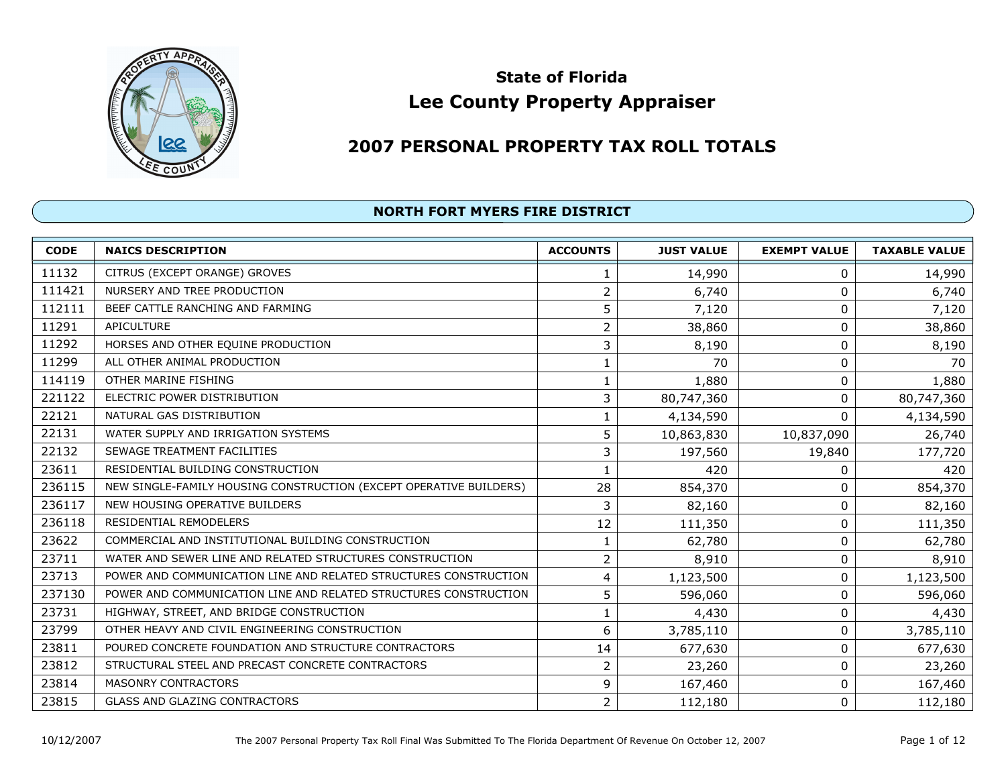

# Lee County Property Appraiser State of Florida

## <sup>2007</sup> PERSONAL PROPERTY TAX ROLL TOTALS

| <b>CODE</b> | <b>NAICS DESCRIPTION</b>                                           | <b>ACCOUNTS</b> | <b>JUST VALUE</b> | <b>EXEMPT VALUE</b> | <b>TAXABLE VALUE</b> |
|-------------|--------------------------------------------------------------------|-----------------|-------------------|---------------------|----------------------|
| 11132       | CITRUS (EXCEPT ORANGE) GROVES                                      | 1               | 14,990            | 0                   | 14,990               |
| 111421      | NURSERY AND TREE PRODUCTION                                        | 2               | 6,740             | 0                   | 6,740                |
| 112111      | BEEF CATTLE RANCHING AND FARMING                                   | 5               | 7,120             | 0                   | 7,120                |
| 11291       | APICULTURE                                                         | $\overline{2}$  | 38,860            | $\pmb{0}$           | 38,860               |
| 11292       | HORSES AND OTHER EQUINE PRODUCTION                                 | 3               | 8,190             | $\pmb{0}$           | 8,190                |
| 11299       | ALL OTHER ANIMAL PRODUCTION                                        | 1               | 70                | 0                   | 70                   |
| 114119      | OTHER MARINE FISHING                                               |                 | 1,880             | $\pmb{0}$           | 1,880                |
| 221122      | ELECTRIC POWER DISTRIBUTION                                        | 3               | 80,747,360        | $\mathbf{0}$        | 80,747,360           |
| 22121       | NATURAL GAS DISTRIBUTION                                           | 1               | 4,134,590         | $\mathbf{0}$        | 4,134,590            |
| 22131       | WATER SUPPLY AND IRRIGATION SYSTEMS                                | 5               | 10,863,830        | 10,837,090          | 26,740               |
| 22132       | SEWAGE TREATMENT FACILITIES                                        | 3               | 197,560           | 19,840              | 177,720              |
| 23611       | RESIDENTIAL BUILDING CONSTRUCTION                                  | 1               | 420               | 0                   | 420                  |
| 236115      | NEW SINGLE-FAMILY HOUSING CONSTRUCTION (EXCEPT OPERATIVE BUILDERS) | 28              | 854,370           | 0                   | 854,370              |
| 236117      | NEW HOUSING OPERATIVE BUILDERS                                     | 3               | 82,160            | 0                   | 82,160               |
| 236118      | <b>RESIDENTIAL REMODELERS</b>                                      | 12              | 111,350           | 0                   | 111,350              |
| 23622       | COMMERCIAL AND INSTITUTIONAL BUILDING CONSTRUCTION                 |                 | 62,780            | 0                   | 62,780               |
| 23711       | WATER AND SEWER LINE AND RELATED STRUCTURES CONSTRUCTION           | $\overline{2}$  | 8,910             | $\pmb{0}$           | 8,910                |
| 23713       | POWER AND COMMUNICATION LINE AND RELATED STRUCTURES CONSTRUCTION   | 4               | 1,123,500         | $\pmb{0}$           | 1,123,500            |
| 237130      | POWER AND COMMUNICATION LINE AND RELATED STRUCTURES CONSTRUCTION   | 5               | 596,060           | $\pmb{0}$           | 596,060              |
| 23731       | HIGHWAY, STREET, AND BRIDGE CONSTRUCTION                           | 1               | 4,430             | $\pmb{0}$           | 4,430                |
| 23799       | OTHER HEAVY AND CIVIL ENGINEERING CONSTRUCTION                     | 6               | 3,785,110         | $\pmb{0}$           | 3,785,110            |
| 23811       | POURED CONCRETE FOUNDATION AND STRUCTURE CONTRACTORS               | 14              | 677,630           | $\pmb{0}$           | 677,630              |
| 23812       | STRUCTURAL STEEL AND PRECAST CONCRETE CONTRACTORS                  | 2               | 23,260            | $\pmb{0}$           | 23,260               |
| 23814       | MASONRY CONTRACTORS                                                | 9               | 167,460           | 0                   | 167,460              |
| 23815       | <b>GLASS AND GLAZING CONTRACTORS</b>                               | $\overline{2}$  | 112,180           | 0                   | 112,180              |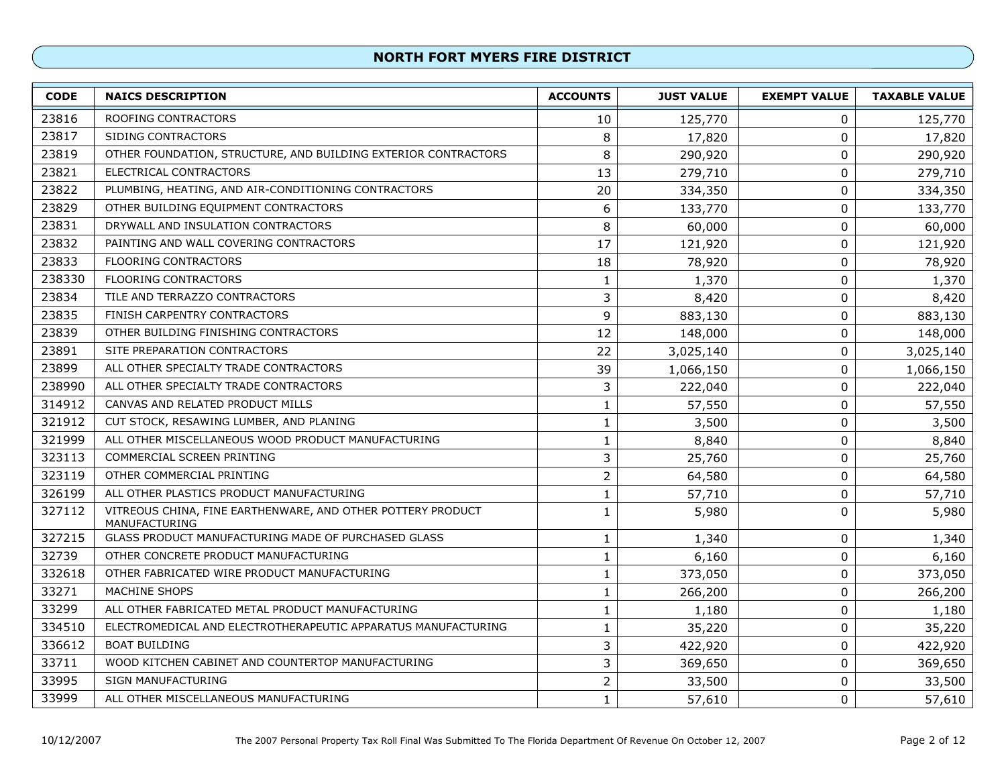| <b>CODE</b> | <b>NAICS DESCRIPTION</b>                                                     | <b>ACCOUNTS</b> | <b>JUST VALUE</b> | <b>EXEMPT VALUE</b> | <b>TAXABLE VALUE</b> |
|-------------|------------------------------------------------------------------------------|-----------------|-------------------|---------------------|----------------------|
| 23816       | <b>ROOFING CONTRACTORS</b>                                                   | 10              | 125,770           | 0                   | 125,770              |
| 23817       | SIDING CONTRACTORS                                                           | 8               | 17,820            | 0                   | 17,820               |
| 23819       | OTHER FOUNDATION, STRUCTURE, AND BUILDING EXTERIOR CONTRACTORS               | 8               | 290,920           | 0                   | 290,920              |
| 23821       | ELECTRICAL CONTRACTORS                                                       | 13              | 279,710           | 0                   | 279,710              |
| 23822       | PLUMBING, HEATING, AND AIR-CONDITIONING CONTRACTORS                          | 20              | 334,350           | $\mathbf 0$         | 334,350              |
| 23829       | OTHER BUILDING EQUIPMENT CONTRACTORS                                         | 6               | 133,770           | 0                   | 133,770              |
| 23831       | DRYWALL AND INSULATION CONTRACTORS                                           | 8               | 60,000            | 0                   | 60,000               |
| 23832       | PAINTING AND WALL COVERING CONTRACTORS                                       | 17              | 121,920           | $\mathbf 0$         | 121,920              |
| 23833       | <b>FLOORING CONTRACTORS</b>                                                  | 18              | 78,920            | $\mathbf 0$         | 78,920               |
| 238330      | <b>FLOORING CONTRACTORS</b>                                                  | 1               | 1,370             | $\mathbf 0$         | 1,370                |
| 23834       | TILE AND TERRAZZO CONTRACTORS                                                | 3               | 8,420             | $\mathbf 0$         | 8,420                |
| 23835       | FINISH CARPENTRY CONTRACTORS                                                 | 9               | 883,130           | $\mathbf 0$         | 883,130              |
| 23839       | OTHER BUILDING FINISHING CONTRACTORS                                         | 12              | 148,000           | 0                   | 148,000              |
| 23891       | SITE PREPARATION CONTRACTORS                                                 | 22              | 3,025,140         | $\mathbf 0$         | 3,025,140            |
| 23899       | ALL OTHER SPECIALTY TRADE CONTRACTORS                                        | 39              | 1,066,150         | 0                   | 1,066,150            |
| 238990      | ALL OTHER SPECIALTY TRADE CONTRACTORS                                        | 3               | 222,040           | $\mathbf 0$         | 222,040              |
| 314912      | CANVAS AND RELATED PRODUCT MILLS                                             | 1               | 57,550            | $\mathbf 0$         | 57,550               |
| 321912      | CUT STOCK, RESAWING LUMBER, AND PLANING                                      | $\mathbf{1}$    | 3,500             | $\pmb{0}$           | 3,500                |
| 321999      | ALL OTHER MISCELLANEOUS WOOD PRODUCT MANUFACTURING                           | $\mathbf{1}$    | 8,840             | $\mathbf 0$         | 8,840                |
| 323113      | COMMERCIAL SCREEN PRINTING                                                   | 3               | 25,760            | 0                   | 25,760               |
| 323119      | OTHER COMMERCIAL PRINTING                                                    | $\overline{2}$  | 64,580            | $\mathbf 0$         | 64,580               |
| 326199      | ALL OTHER PLASTICS PRODUCT MANUFACTURING                                     | 1               | 57,710            | $\mathbf 0$         | 57,710               |
| 327112      | VITREOUS CHINA, FINE EARTHENWARE, AND OTHER POTTERY PRODUCT<br>MANUFACTURING | 1               | 5,980             | 0                   | 5,980                |
| 327215      | GLASS PRODUCT MANUFACTURING MADE OF PURCHASED GLASS                          | 1               | 1,340             | $\pmb{0}$           | 1,340                |
| 32739       | OTHER CONCRETE PRODUCT MANUFACTURING                                         | $\mathbf{1}$    | 6,160             | $\pmb{0}$           | 6,160                |
| 332618      | OTHER FABRICATED WIRE PRODUCT MANUFACTURING                                  | 1               | 373,050           | $\mathbf 0$         | 373,050              |
| 33271       | MACHINE SHOPS                                                                | 1               | 266,200           | $\mathbf 0$         | 266,200              |
| 33299       | ALL OTHER FABRICATED METAL PRODUCT MANUFACTURING                             | 1               | 1,180             | 0                   | 1,180                |
| 334510      | ELECTROMEDICAL AND ELECTROTHERAPEUTIC APPARATUS MANUFACTURING                | 1               | 35,220            | 0                   | 35,220               |
| 336612      | <b>BOAT BUILDING</b>                                                         | 3               | 422,920           | $\mathbf 0$         | 422,920              |
| 33711       | WOOD KITCHEN CABINET AND COUNTERTOP MANUFACTURING                            | 3               | 369,650           | 0                   | 369,650              |
| 33995       | <b>SIGN MANUFACTURING</b>                                                    | $\overline{2}$  | 33,500            | 0                   | 33,500               |
| 33999       | ALL OTHER MISCELLANEOUS MANUFACTURING                                        | $\mathbf{1}$    | 57,610            | 0                   | 57,610               |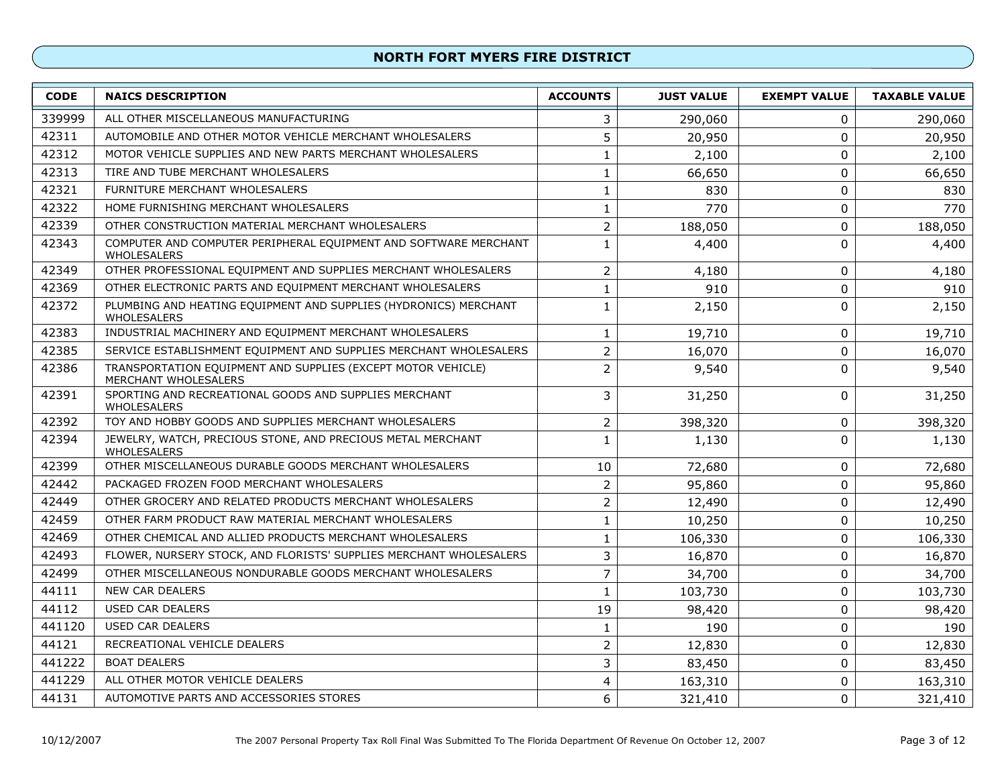| <b>CODE</b> | <b>NAICS DESCRIPTION</b>                                                             | <b>ACCOUNTS</b> | <b>JUST VALUE</b> | <b>EXEMPT VALUE</b> | <b>TAXABLE VALUE</b> |
|-------------|--------------------------------------------------------------------------------------|-----------------|-------------------|---------------------|----------------------|
| 339999      | ALL OTHER MISCELLANEOUS MANUFACTURING                                                | 3               | 290,060           | 0                   | 290,060              |
| 42311       | AUTOMOBILE AND OTHER MOTOR VEHICLE MERCHANT WHOLESALERS                              | 5               | 20,950            | $\mathbf 0$         | 20,950               |
| 42312       | MOTOR VEHICLE SUPPLIES AND NEW PARTS MERCHANT WHOLESALERS                            |                 | 2,100             | 0                   | 2,100                |
| 42313       | TIRE AND TUBE MERCHANT WHOLESALERS                                                   | 1               | 66,650            | 0                   | 66,650               |
| 42321       | FURNITURE MERCHANT WHOLESALERS                                                       | $\mathbf 1$     | 830               | 0                   | 830                  |
| 42322       | HOME FURNISHING MERCHANT WHOLESALERS                                                 | $\mathbf 1$     | 770               | 0                   | 770                  |
| 42339       | OTHER CONSTRUCTION MATERIAL MERCHANT WHOLESALERS                                     | $\overline{2}$  | 188,050           | $\pmb{0}$           | 188,050              |
| 42343       | COMPUTER AND COMPUTER PERIPHERAL EQUIPMENT AND SOFTWARE MERCHANT<br>WHOLESALERS      | $\mathbf{1}$    | 4,400             | $\mathbf 0$         | 4,400                |
| 42349       | OTHER PROFESSIONAL EQUIPMENT AND SUPPLIES MERCHANT WHOLESALERS                       | $\overline{2}$  | 4,180             | 0                   | 4,180                |
| 42369       | OTHER ELECTRONIC PARTS AND EQUIPMENT MERCHANT WHOLESALERS                            | $\mathbf{1}$    | 910               | 0                   | 910                  |
| 42372       | PLUMBING AND HEATING EQUIPMENT AND SUPPLIES (HYDRONICS) MERCHANT<br>WHOLESALERS      | 1               | 2,150             | $\mathbf{0}$        | 2,150                |
| 42383       | INDUSTRIAL MACHINERY AND EQUIPMENT MERCHANT WHOLESALERS                              | 1               | 19,710            | 0                   | 19,710               |
| 42385       | SERVICE ESTABLISHMENT EQUIPMENT AND SUPPLIES MERCHANT WHOLESALERS                    | $\overline{2}$  | 16,070            | 0                   | 16,070               |
| 42386       | TRANSPORTATION EQUIPMENT AND SUPPLIES (EXCEPT MOTOR VEHICLE)<br>MERCHANT WHOLESALERS | $\overline{2}$  | 9,540             | $\pmb{0}$           | 9,540                |
| 42391       | SPORTING AND RECREATIONAL GOODS AND SUPPLIES MERCHANT<br>WHOLESALERS                 | 3               | 31,250            | 0                   | 31,250               |
| 42392       | TOY AND HOBBY GOODS AND SUPPLIES MERCHANT WHOLESALERS                                | $\overline{2}$  | 398,320           | $\pmb{0}$           | 398,320              |
| 42394       | JEWELRY, WATCH, PRECIOUS STONE, AND PRECIOUS METAL MERCHANT<br>WHOLESALERS           | $\mathbf{1}$    | 1,130             | $\mathbf 0$         | 1,130                |
| 42399       | OTHER MISCELLANEOUS DURABLE GOODS MERCHANT WHOLESALERS                               | 10              | 72,680            | 0                   | 72,680               |
| 42442       | PACKAGED FROZEN FOOD MERCHANT WHOLESALERS                                            | $\overline{2}$  | 95,860            | 0                   | 95,860               |
| 42449       | OTHER GROCERY AND RELATED PRODUCTS MERCHANT WHOLESALERS                              | $\overline{2}$  | 12,490            | 0                   | 12,490               |
| 42459       | OTHER FARM PRODUCT RAW MATERIAL MERCHANT WHOLESALERS                                 | $\mathbf{1}$    | 10,250            | $\pmb{0}$           | 10,250               |
| 42469       | OTHER CHEMICAL AND ALLIED PRODUCTS MERCHANT WHOLESALERS                              | 1               | 106,330           | $\pmb{0}$           | 106,330              |
| 42493       | FLOWER, NURSERY STOCK, AND FLORISTS' SUPPLIES MERCHANT WHOLESALERS                   | 3               | 16,870            | $\pmb{0}$           | 16,870               |
| 42499       | OTHER MISCELLANEOUS NONDURABLE GOODS MERCHANT WHOLESALERS                            | $\overline{7}$  | 34,700            | $\pmb{0}$           | 34,700               |
| 44111       | <b>NEW CAR DEALERS</b>                                                               | $\mathbf{1}$    | 103,730           | 0                   | 103,730              |
| 44112       | <b>USED CAR DEALERS</b>                                                              | 19              | 98,420            | $\pmb{0}$           | 98,420               |
| 441120      | <b>USED CAR DEALERS</b>                                                              | 1               | 190               | 0                   | 190                  |
| 44121       | RECREATIONAL VEHICLE DEALERS                                                         | $\overline{2}$  | 12,830            | $\mathbf{0}$        | 12,830               |
| 441222      | <b>BOAT DEALERS</b>                                                                  | 3               | 83,450            | 0                   | 83,450               |
| 441229      | ALL OTHER MOTOR VEHICLE DEALERS                                                      | 4               | 163,310           | $\pmb{0}$           | 163,310              |
| 44131       | AUTOMOTIVE PARTS AND ACCESSORIES STORES                                              | 6               | 321,410           | $\mathbf 0$         | 321,410              |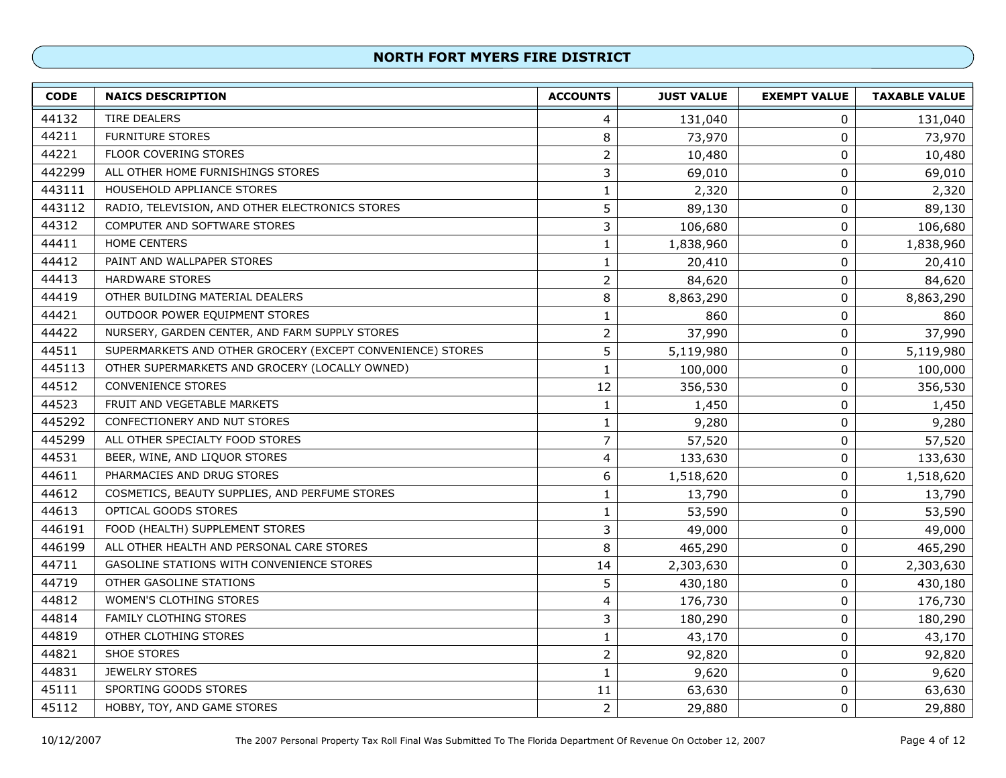| <b>CODE</b> | <b>NAICS DESCRIPTION</b>                                   | <b>ACCOUNTS</b> | <b>JUST VALUE</b> | <b>EXEMPT VALUE</b> | <b>TAXABLE VALUE</b> |
|-------------|------------------------------------------------------------|-----------------|-------------------|---------------------|----------------------|
| 44132       | <b>TIRE DEALERS</b>                                        | 4               | 131,040           | 0                   | 131,040              |
| 44211       | <b>FURNITURE STORES</b>                                    | 8               | 73,970            | $\pmb{0}$           | 73,970               |
| 44221       | FLOOR COVERING STORES                                      | 2               | 10,480            | $\mathbf 0$         | 10,480               |
| 442299      | ALL OTHER HOME FURNISHINGS STORES                          | 3               | 69,010            | $\mathbf 0$         | 69,010               |
| 443111      | HOUSEHOLD APPLIANCE STORES                                 | $\mathbf{1}$    | 2,320             | $\pmb{0}$           | 2,320                |
| 443112      | RADIO, TELEVISION, AND OTHER ELECTRONICS STORES            | 5               | 89,130            | $\mathbf 0$         | 89,130               |
| 44312       | COMPUTER AND SOFTWARE STORES                               | 3               | 106,680           | $\mathbf 0$         | 106,680              |
| 44411       | HOME CENTERS                                               | $\mathbf 1$     | 1,838,960         | $\mathbf 0$         | 1,838,960            |
| 44412       | PAINT AND WALLPAPER STORES                                 | $\mathbf{1}$    | 20,410            | $\mathbf 0$         | 20,410               |
| 44413       | <b>HARDWARE STORES</b>                                     | $\overline{2}$  | 84,620            | $\pmb{0}$           | 84,620               |
| 44419       | OTHER BUILDING MATERIAL DEALERS                            | 8               | 8,863,290         | $\mathbf 0$         | 8,863,290            |
| 44421       | OUTDOOR POWER EQUIPMENT STORES                             | $\mathbf{1}$    | 860               | $\pmb{0}$           | 860                  |
| 44422       | NURSERY, GARDEN CENTER, AND FARM SUPPLY STORES             | $\overline{2}$  | 37,990            | $\pmb{0}$           | 37,990               |
| 44511       | SUPERMARKETS AND OTHER GROCERY (EXCEPT CONVENIENCE) STORES | 5               | 5,119,980         | $\mathbf 0$         | 5,119,980            |
| 445113      | OTHER SUPERMARKETS AND GROCERY (LOCALLY OWNED)             | $\mathbf{1}$    | 100,000           | 0                   | 100,000              |
| 44512       | <b>CONVENIENCE STORES</b>                                  | 12              | 356,530           | $\mathbf 0$         | 356,530              |
| 44523       | FRUIT AND VEGETABLE MARKETS                                | $\mathbf{1}$    | 1,450             | 0                   | 1,450                |
| 445292      | CONFECTIONERY AND NUT STORES                               | 1               | 9,280             | 0                   | 9,280                |
| 445299      | ALL OTHER SPECIALTY FOOD STORES                            | $\overline{7}$  | 57,520            | 0                   | 57,520               |
| 44531       | BEER, WINE, AND LIQUOR STORES                              | 4               | 133,630           | $\mathbf 0$         | 133,630              |
| 44611       | PHARMACIES AND DRUG STORES                                 | 6               | 1,518,620         | $\pmb{0}$           | 1,518,620            |
| 44612       | COSMETICS, BEAUTY SUPPLIES, AND PERFUME STORES             | 1               | 13,790            | $\pmb{0}$           | 13,790               |
| 44613       | OPTICAL GOODS STORES                                       | $\mathbf{1}$    | 53,590            | $\pmb{0}$           | 53,590               |
| 446191      | FOOD (HEALTH) SUPPLEMENT STORES                            | 3               | 49,000            | $\pmb{0}$           | 49,000               |
| 446199      | ALL OTHER HEALTH AND PERSONAL CARE STORES                  | 8               | 465,290           | $\pmb{0}$           | 465,290              |
| 44711       | GASOLINE STATIONS WITH CONVENIENCE STORES                  | 14              | 2,303,630         | $\pmb{0}$           | 2,303,630            |
| 44719       | OTHER GASOLINE STATIONS                                    | 5               | 430,180           | $\mathbf 0$         | 430,180              |
| 44812       | WOMEN'S CLOTHING STORES                                    | 4               | 176,730           | 0                   | 176,730              |
| 44814       | FAMILY CLOTHING STORES                                     | 3               | 180,290           | $\mathbf 0$         | 180,290              |
| 44819       | OTHER CLOTHING STORES                                      | $\mathbf 1$     | 43,170            | $\mathbf 0$         | 43,170               |
| 44821       | <b>SHOE STORES</b>                                         | $\overline{2}$  | 92,820            | $\mathbf 0$         | 92,820               |
| 44831       | <b>JEWELRY STORES</b>                                      | $\mathbf 1$     | 9,620             | 0                   | 9,620                |
| 45111       | SPORTING GOODS STORES                                      | 11              | 63,630            | $\pmb{0}$           | 63,630               |
| 45112       | HOBBY, TOY, AND GAME STORES                                | $\overline{2}$  | 29,880            | 0                   | 29,880               |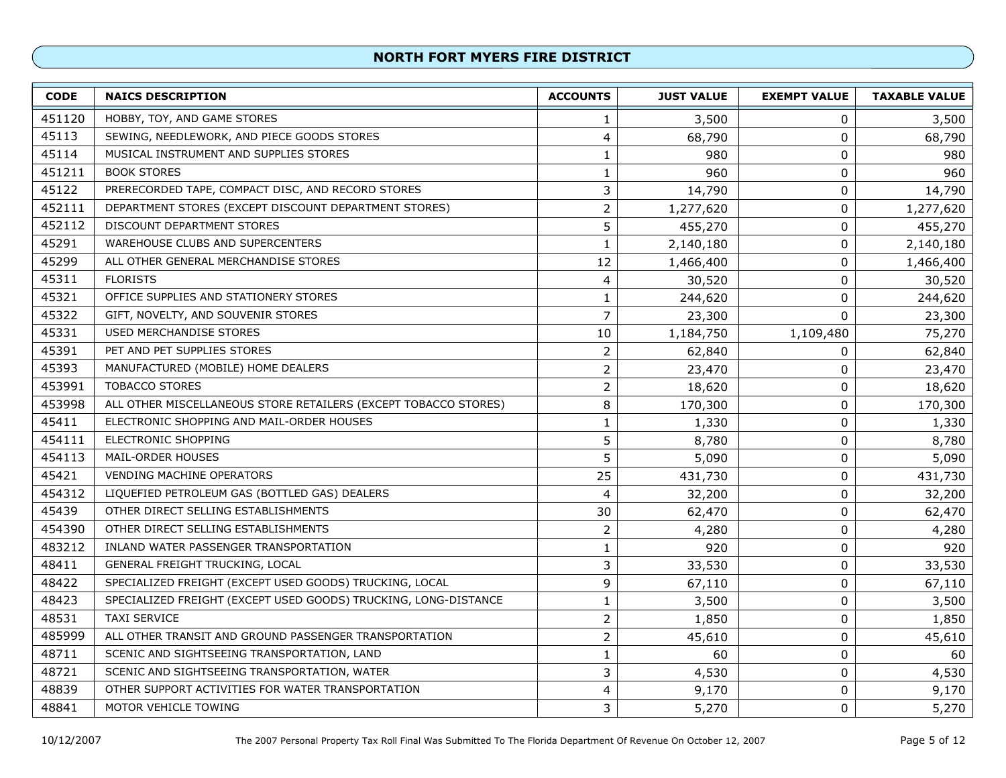| <b>CODE</b> | <b>NAICS DESCRIPTION</b>                                        | <b>ACCOUNTS</b> | <b>JUST VALUE</b> | <b>EXEMPT VALUE</b> | <b>TAXABLE VALUE</b> |
|-------------|-----------------------------------------------------------------|-----------------|-------------------|---------------------|----------------------|
| 451120      | HOBBY, TOY, AND GAME STORES                                     | 1               | 3,500             | 0                   | 3,500                |
| 45113       | SEWING, NEEDLEWORK, AND PIECE GOODS STORES                      | 4               | 68,790            | $\pmb{0}$           | 68,790               |
| 45114       | MUSICAL INSTRUMENT AND SUPPLIES STORES                          | 1               | 980               | $\pmb{0}$           | 980                  |
| 451211      | <b>BOOK STORES</b>                                              | $\mathbf 1$     | 960               | $\pmb{0}$           | 960                  |
| 45122       | PRERECORDED TAPE, COMPACT DISC, AND RECORD STORES               | 3               | 14,790            | $\boldsymbol{0}$    | 14,790               |
| 452111      | DEPARTMENT STORES (EXCEPT DISCOUNT DEPARTMENT STORES)           | $\overline{2}$  | 1,277,620         | $\pmb{0}$           | 1,277,620            |
| 452112      | <b>DISCOUNT DEPARTMENT STORES</b>                               | 5               | 455,270           | $\pmb{0}$           | 455,270              |
| 45291       | <b>WAREHOUSE CLUBS AND SUPERCENTERS</b>                         | $\mathbf 1$     | 2,140,180         | $\pmb{0}$           | 2,140,180            |
| 45299       | ALL OTHER GENERAL MERCHANDISE STORES                            | 12              | 1,466,400         | $\pmb{0}$           | 1,466,400            |
| 45311       | <b>FLORISTS</b>                                                 | 4               | 30,520            | $\pmb{0}$           | 30,520               |
| 45321       | OFFICE SUPPLIES AND STATIONERY STORES                           | $\mathbf{1}$    | 244,620           | $\pmb{0}$           | 244,620              |
| 45322       | GIFT, NOVELTY, AND SOUVENIR STORES                              | $\overline{7}$  | 23,300            | 0                   | 23,300               |
| 45331       | <b>USED MERCHANDISE STORES</b>                                  | 10              | 1,184,750         | 1,109,480           | 75,270               |
| 45391       | PET AND PET SUPPLIES STORES                                     | $\overline{2}$  | 62,840            | 0                   | 62,840               |
| 45393       | MANUFACTURED (MOBILE) HOME DEALERS                              | $\overline{2}$  | 23,470            | 0                   | 23,470               |
| 453991      | <b>TOBACCO STORES</b>                                           | $\overline{2}$  | 18,620            | $\boldsymbol{0}$    | 18,620               |
| 453998      | ALL OTHER MISCELLANEOUS STORE RETAILERS (EXCEPT TOBACCO STORES) | 8               | 170,300           | $\pmb{0}$           | 170,300              |
| 45411       | ELECTRONIC SHOPPING AND MAIL-ORDER HOUSES                       | $\mathbf{1}$    | 1,330             | $\pmb{0}$           | 1,330                |
| 454111      | <b>ELECTRONIC SHOPPING</b>                                      | 5               | 8,780             | $\pmb{0}$           | 8,780                |
| 454113      | MAIL-ORDER HOUSES                                               | 5               | 5,090             | $\pmb{0}$           | 5,090                |
| 45421       | VENDING MACHINE OPERATORS                                       | 25              | 431,730           | $\pmb{0}$           | 431,730              |
| 454312      | LIQUEFIED PETROLEUM GAS (BOTTLED GAS) DEALERS                   | 4               | 32,200            | $\pmb{0}$           | 32,200               |
| 45439       | OTHER DIRECT SELLING ESTABLISHMENTS                             | 30              | 62,470            | $\pmb{0}$           | 62,470               |
| 454390      | OTHER DIRECT SELLING ESTABLISHMENTS                             | $\overline{2}$  | 4,280             | $\pmb{0}$           | 4,280                |
| 483212      | INLAND WATER PASSENGER TRANSPORTATION                           | 1               | 920               | $\pmb{0}$           | 920                  |
| 48411       | GENERAL FREIGHT TRUCKING, LOCAL                                 | 3               | 33,530            | $\pmb{0}$           | 33,530               |
| 48422       | SPECIALIZED FREIGHT (EXCEPT USED GOODS) TRUCKING, LOCAL         | 9               | 67,110            | $\pmb{0}$           | 67,110               |
| 48423       | SPECIALIZED FREIGHT (EXCEPT USED GOODS) TRUCKING, LONG-DISTANCE | 1               | 3,500             | $\pmb{0}$           | 3,500                |
| 48531       | <b>TAXI SERVICE</b>                                             | $\overline{2}$  | 1,850             | $\pmb{0}$           | 1,850                |
| 485999      | ALL OTHER TRANSIT AND GROUND PASSENGER TRANSPORTATION           | $\overline{2}$  | 45,610            | 0                   | 45,610               |
| 48711       | SCENIC AND SIGHTSEEING TRANSPORTATION, LAND                     | $\mathbf 1$     | 60                | $\pmb{0}$           | 60                   |
| 48721       | SCENIC AND SIGHTSEEING TRANSPORTATION, WATER                    | 3               | 4,530             | 0                   | 4,530                |
| 48839       | OTHER SUPPORT ACTIVITIES FOR WATER TRANSPORTATION               | 4               | 9,170             | $\pmb{0}$           | 9,170                |
| 48841       | MOTOR VEHICLE TOWING                                            | 3               | 5,270             | $\pmb{0}$           | 5,270                |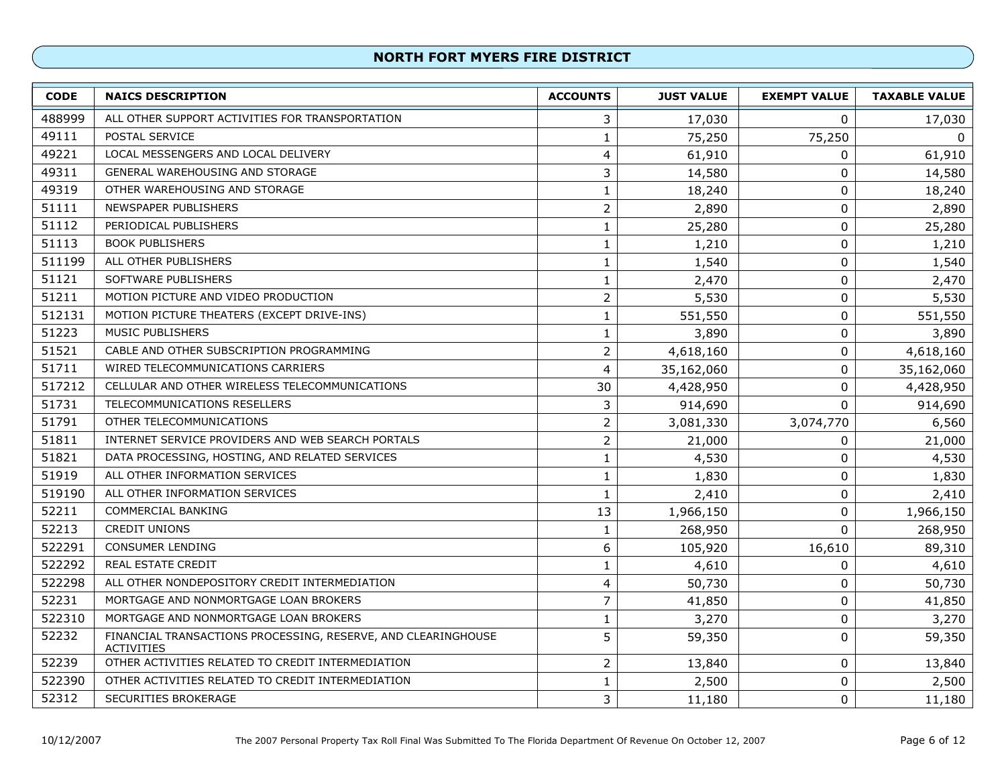| <b>CODE</b> | <b>NAICS DESCRIPTION</b>                                                           | <b>ACCOUNTS</b> | <b>JUST VALUE</b> | <b>EXEMPT VALUE</b> | <b>TAXABLE VALUE</b> |
|-------------|------------------------------------------------------------------------------------|-----------------|-------------------|---------------------|----------------------|
| 488999      | ALL OTHER SUPPORT ACTIVITIES FOR TRANSPORTATION                                    | 3               | 17,030            | 0                   | 17,030               |
| 49111       | POSTAL SERVICE                                                                     | 1               | 75,250            | 75,250              | $\Omega$             |
| 49221       | LOCAL MESSENGERS AND LOCAL DELIVERY                                                | 4               | 61,910            | 0                   | 61,910               |
| 49311       | <b>GENERAL WAREHOUSING AND STORAGE</b>                                             | 3               | 14,580            | 0                   | 14,580               |
| 49319       | OTHER WAREHOUSING AND STORAGE                                                      | 1               | 18,240            | 0                   | 18,240               |
| 51111       | NEWSPAPER PUBLISHERS                                                               | $\overline{2}$  | 2,890             | 0                   | 2,890                |
| 51112       | PERIODICAL PUBLISHERS                                                              | $\mathbf{1}$    | 25,280            | 0                   | 25,280               |
| 51113       | <b>BOOK PUBLISHERS</b>                                                             | 1               | 1,210             | 0                   | 1,210                |
| 511199      | ALL OTHER PUBLISHERS                                                               | $\mathbf{1}$    | 1,540             | $\pmb{0}$           | 1,540                |
| 51121       | SOFTWARE PUBLISHERS                                                                | 1               | 2,470             | $\mathbf 0$         | 2,470                |
| 51211       | MOTION PICTURE AND VIDEO PRODUCTION                                                | $\overline{2}$  | 5,530             | $\mathbf 0$         | 5,530                |
| 512131      | MOTION PICTURE THEATERS (EXCEPT DRIVE-INS)                                         | 1               | 551,550           | 0                   | 551,550              |
| 51223       | <b>MUSIC PUBLISHERS</b>                                                            | $\mathbf{1}$    | 3,890             | 0                   | 3,890                |
| 51521       | CABLE AND OTHER SUBSCRIPTION PROGRAMMING                                           | $\overline{2}$  | 4,618,160         | $\mathbf 0$         | 4,618,160            |
| 51711       | WIRED TELECOMMUNICATIONS CARRIERS                                                  | 4               | 35,162,060        | 0                   | 35,162,060           |
| 517212      | CELLULAR AND OTHER WIRELESS TELECOMMUNICATIONS                                     | 30              | 4,428,950         | 0                   | 4,428,950            |
| 51731       | TELECOMMUNICATIONS RESELLERS                                                       | 3               | 914,690           | $\Omega$            | 914,690              |
| 51791       | OTHER TELECOMMUNICATIONS                                                           | $\overline{2}$  | 3,081,330         | 3,074,770           | 6,560                |
| 51811       | INTERNET SERVICE PROVIDERS AND WEB SEARCH PORTALS                                  | $\overline{2}$  | 21,000            | 0                   | 21,000               |
| 51821       | DATA PROCESSING, HOSTING, AND RELATED SERVICES                                     | 1               | 4,530             | 0                   | 4,530                |
| 51919       | ALL OTHER INFORMATION SERVICES                                                     | 1               | 1,830             | 0                   | 1,830                |
| 519190      | ALL OTHER INFORMATION SERVICES                                                     | $\mathbf{1}$    | 2,410             | 0                   | 2,410                |
| 52211       | COMMERCIAL BANKING                                                                 | 13              | 1,966,150         | $\mathbf 0$         | 1,966,150            |
| 52213       | <b>CREDIT UNIONS</b>                                                               | 1               | 268,950           | $\Omega$            | 268,950              |
| 522291      | <b>CONSUMER LENDING</b>                                                            | 6               | 105,920           | 16,610              | 89,310               |
| 522292      | <b>REAL ESTATE CREDIT</b>                                                          | 1               | 4,610             | 0                   | 4,610                |
| 522298      | ALL OTHER NONDEPOSITORY CREDIT INTERMEDIATION                                      | 4               | 50,730            | 0                   | 50,730               |
| 52231       | MORTGAGE AND NONMORTGAGE LOAN BROKERS                                              | 7               | 41,850            | 0                   | 41,850               |
| 522310      | MORTGAGE AND NONMORTGAGE LOAN BROKERS                                              | 1               | 3,270             | 0                   | 3,270                |
| 52232       | FINANCIAL TRANSACTIONS PROCESSING, RESERVE, AND CLEARINGHOUSE<br><b>ACTIVITIES</b> | 5               | 59,350            | 0                   | 59,350               |
| 52239       | OTHER ACTIVITIES RELATED TO CREDIT INTERMEDIATION                                  | $\overline{2}$  | 13,840            | 0                   | 13,840               |
| 522390      | OTHER ACTIVITIES RELATED TO CREDIT INTERMEDIATION                                  | $\mathbf{1}$    | 2,500             | 0                   | 2,500                |
| 52312       | SECURITIES BROKERAGE                                                               | 3               | 11,180            | 0                   | 11,180               |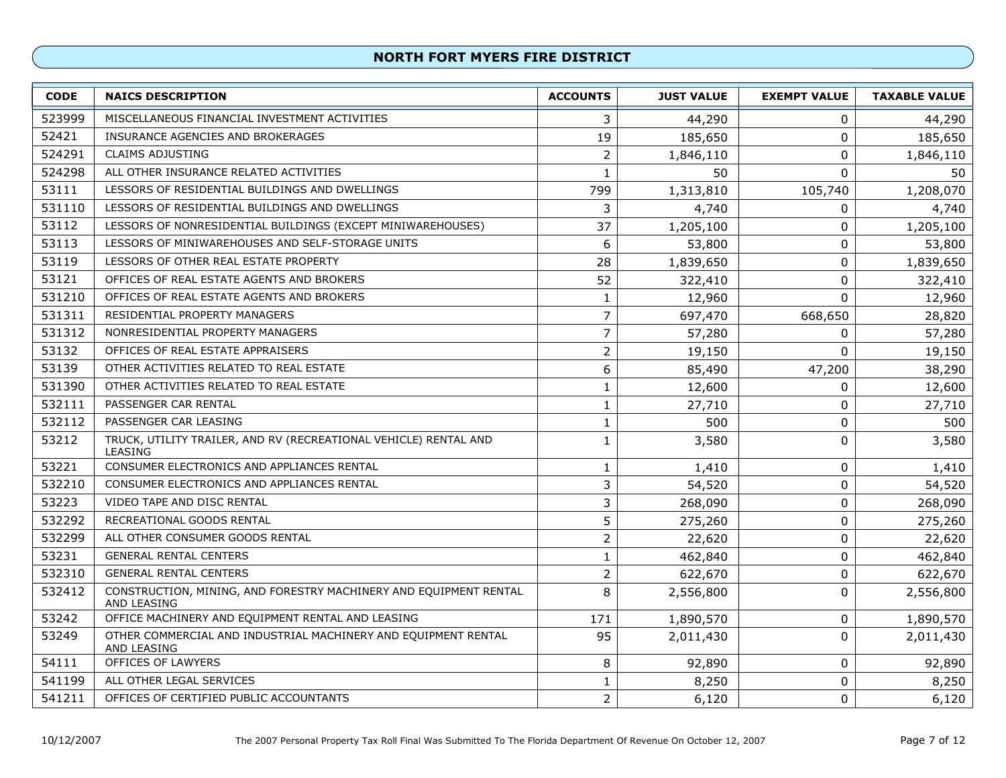| <b>CODE</b> | <b>NAICS DESCRIPTION</b>                                                         | <b>ACCOUNTS</b> | <b>JUST VALUE</b> | <b>EXEMPT VALUE</b> | <b>TAXABLE VALUE</b> |
|-------------|----------------------------------------------------------------------------------|-----------------|-------------------|---------------------|----------------------|
| 523999      | MISCELLANEOUS FINANCIAL INVESTMENT ACTIVITIES                                    | 3               | 44,290            | 0                   | 44,290               |
| 52421       | INSURANCE AGENCIES AND BROKERAGES                                                | 19              | 185,650           | 0                   | 185,650              |
| 524291      | <b>CLAIMS ADJUSTING</b>                                                          | $\overline{2}$  | 1,846,110         | 0                   | 1,846,110            |
| 524298      | ALL OTHER INSURANCE RELATED ACTIVITIES                                           | 1               | 50                | $\Omega$            | 50                   |
| 53111       | LESSORS OF RESIDENTIAL BUILDINGS AND DWELLINGS                                   | 799             | 1,313,810         | 105,740             | 1,208,070            |
| 531110      | LESSORS OF RESIDENTIAL BUILDINGS AND DWELLINGS                                   | 3               | 4,740             | 0                   | 4,740                |
| 53112       | LESSORS OF NONRESIDENTIAL BUILDINGS (EXCEPT MINIWAREHOUSES)                      | 37              | 1,205,100         | 0                   | 1,205,100            |
| 53113       | LESSORS OF MINIWAREHOUSES AND SELF-STORAGE UNITS                                 | 6               | 53,800            | 0                   | 53,800               |
| 53119       | LESSORS OF OTHER REAL ESTATE PROPERTY                                            | 28              | 1,839,650         | 0                   | 1,839,650            |
| 53121       | OFFICES OF REAL ESTATE AGENTS AND BROKERS                                        | 52              | 322,410           | 0                   | 322,410              |
| 531210      | OFFICES OF REAL ESTATE AGENTS AND BROKERS                                        | 1               | 12,960            | $\mathbf 0$         | 12,960               |
| 531311      | RESIDENTIAL PROPERTY MANAGERS                                                    | 7               | 697,470           | 668,650             | 28,820               |
| 531312      | NONRESIDENTIAL PROPERTY MANAGERS                                                 | $\overline{7}$  | 57,280            | 0                   | 57,280               |
| 53132       | OFFICES OF REAL ESTATE APPRAISERS                                                | $\overline{2}$  | 19,150            | $\mathbf 0$         | 19,150               |
| 53139       | OTHER ACTIVITIES RELATED TO REAL ESTATE                                          | 6               | 85,490            | 47,200              | 38,290               |
| 531390      | OTHER ACTIVITIES RELATED TO REAL ESTATE                                          | $\mathbf{1}$    | 12,600            | 0                   | 12,600               |
| 532111      | PASSENGER CAR RENTAL                                                             | $\mathbf{1}$    | 27,710            | 0                   | 27,710               |
| 532112      | PASSENGER CAR LEASING                                                            | $\mathbf{1}$    | 500               | $\pmb{0}$           | 500                  |
| 53212       | TRUCK, UTILITY TRAILER, AND RV (RECREATIONAL VEHICLE) RENTAL AND<br>LEASING      | 1               | 3,580             | 0                   | 3,580                |
| 53221       | CONSUMER ELECTRONICS AND APPLIANCES RENTAL                                       | $\mathbf{1}$    | 1,410             | $\pmb{0}$           | 1,410                |
| 532210      | CONSUMER ELECTRONICS AND APPLIANCES RENTAL                                       | 3               | 54,520            | 0                   | 54,520               |
| 53223       | VIDEO TAPE AND DISC RENTAL                                                       | 3               | 268,090           | $\mathbf 0$         | 268,090              |
| 532292      | RECREATIONAL GOODS RENTAL                                                        | 5               | 275,260           | 0                   | 275,260              |
| 532299      | ALL OTHER CONSUMER GOODS RENTAL                                                  | $\overline{2}$  | 22,620            | $\pmb{0}$           | 22,620               |
| 53231       | <b>GENERAL RENTAL CENTERS</b>                                                    | 1               | 462,840           | $\pmb{0}$           | 462,840              |
| 532310      | <b>GENERAL RENTAL CENTERS</b>                                                    | $\overline{c}$  | 622,670           | 0                   | 622,670              |
| 532412      | CONSTRUCTION, MINING, AND FORESTRY MACHINERY AND EQUIPMENT RENTAL<br>AND LEASING | 8               | 2,556,800         | 0                   | 2,556,800            |
| 53242       | OFFICE MACHINERY AND EQUIPMENT RENTAL AND LEASING                                | 171             | 1,890,570         | 0                   | 1,890,570            |
| 53249       | OTHER COMMERCIAL AND INDUSTRIAL MACHINERY AND EQUIPMENT RENTAL<br>AND LEASING    | 95              | 2,011,430         | 0                   | 2,011,430            |
| 54111       | OFFICES OF LAWYERS                                                               | 8               | 92,890            | 0                   | 92,890               |
| 541199      | ALL OTHER LEGAL SERVICES                                                         | 1               | 8,250             | 0                   | 8,250                |
| 541211      | OFFICES OF CERTIFIED PUBLIC ACCOUNTANTS                                          | $\overline{2}$  | 6,120             | 0                   | 6,120                |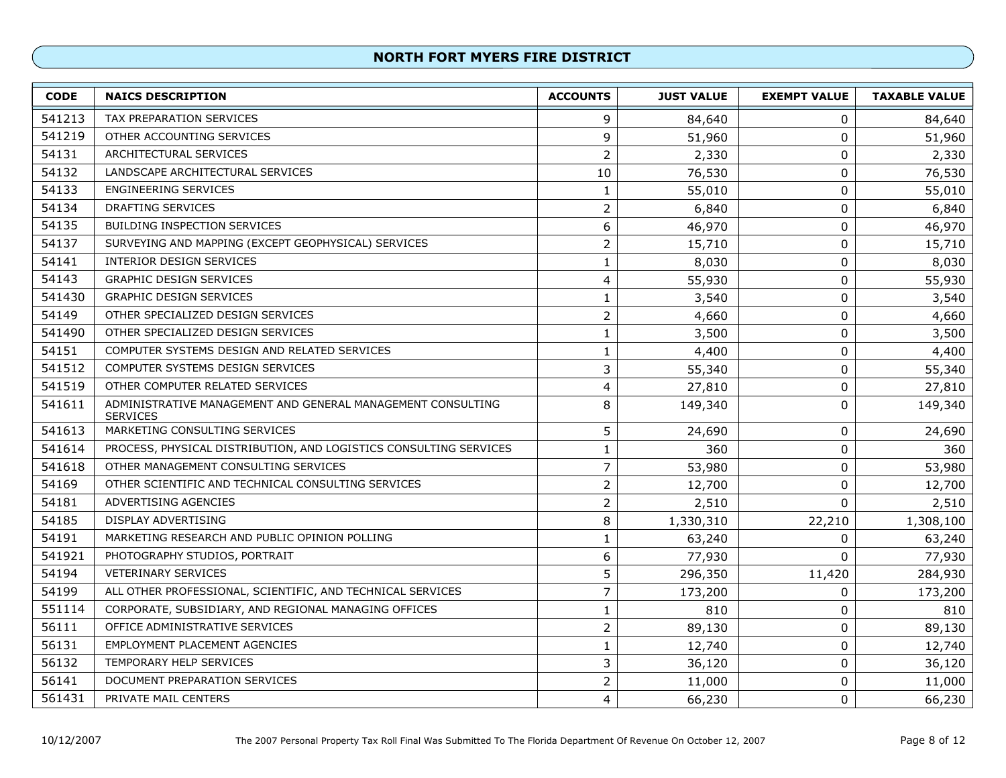| <b>CODE</b> | <b>NAICS DESCRIPTION</b>                                                       | <b>ACCOUNTS</b> | <b>JUST VALUE</b> | <b>EXEMPT VALUE</b> | <b>TAXABLE VALUE</b> |
|-------------|--------------------------------------------------------------------------------|-----------------|-------------------|---------------------|----------------------|
| 541213      | <b>TAX PREPARATION SERVICES</b>                                                | 9               | 84,640            | 0                   | 84,640               |
| 541219      | OTHER ACCOUNTING SERVICES                                                      | 9               | 51,960            | $\pmb{0}$           | 51,960               |
| 54131       | ARCHITECTURAL SERVICES                                                         | $\overline{2}$  | 2,330             | $\pmb{0}$           | 2,330                |
| 54132       | LANDSCAPE ARCHITECTURAL SERVICES                                               | 10              | 76,530            | $\pmb{0}$           | 76,530               |
| 54133       | <b>ENGINEERING SERVICES</b>                                                    | $\mathbf{1}$    | 55,010            | $\pmb{0}$           | 55,010               |
| 54134       | <b>DRAFTING SERVICES</b>                                                       | $\overline{2}$  | 6,840             | $\pmb{0}$           | 6,840                |
| 54135       | <b>BUILDING INSPECTION SERVICES</b>                                            | 6               | 46,970            | $\pmb{0}$           | 46,970               |
| 54137       | SURVEYING AND MAPPING (EXCEPT GEOPHYSICAL) SERVICES                            | $\overline{2}$  | 15,710            | $\boldsymbol{0}$    | 15,710               |
| 54141       | INTERIOR DESIGN SERVICES                                                       | $\mathbf{1}$    | 8,030             | $\pmb{0}$           | 8,030                |
| 54143       | <b>GRAPHIC DESIGN SERVICES</b>                                                 | 4               | 55,930            | $\pmb{0}$           | 55,930               |
| 541430      | <b>GRAPHIC DESIGN SERVICES</b>                                                 | 1               | 3,540             | $\pmb{0}$           | 3,540                |
| 54149       | OTHER SPECIALIZED DESIGN SERVICES                                              | $\overline{2}$  | 4,660             | $\pmb{0}$           | 4,660                |
| 541490      | OTHER SPECIALIZED DESIGN SERVICES                                              | $\mathbf{1}$    | 3,500             | $\pmb{0}$           | 3,500                |
| 54151       | COMPUTER SYSTEMS DESIGN AND RELATED SERVICES                                   | $\mathbf 1$     | 4,400             | 0                   | 4,400                |
| 541512      | COMPUTER SYSTEMS DESIGN SERVICES                                               | 3               | 55,340            | $\pmb{0}$           | 55,340               |
| 541519      | OTHER COMPUTER RELATED SERVICES                                                | 4               | 27,810            | $\boldsymbol{0}$    | 27,810               |
| 541611      | ADMINISTRATIVE MANAGEMENT AND GENERAL MANAGEMENT CONSULTING<br><b>SERVICES</b> | 8               | 149,340           | $\pmb{0}$           | 149,340              |
| 541613      | MARKETING CONSULTING SERVICES                                                  | 5               | 24,690            | $\pmb{0}$           | 24,690               |
| 541614      | PROCESS, PHYSICAL DISTRIBUTION, AND LOGISTICS CONSULTING SERVICES              | $\mathbf{1}$    | 360               | $\pmb{0}$           | 360                  |
| 541618      | OTHER MANAGEMENT CONSULTING SERVICES                                           | $\overline{7}$  | 53,980            | $\pmb{0}$           | 53,980               |
| 54169       | OTHER SCIENTIFIC AND TECHNICAL CONSULTING SERVICES                             | $\overline{2}$  | 12,700            | 0                   | 12,700               |
| 54181       | ADVERTISING AGENCIES                                                           | $\overline{2}$  | 2,510             | $\mathbf 0$         | 2,510                |
| 54185       | DISPLAY ADVERTISING                                                            | 8               | 1,330,310         | 22,210              | 1,308,100            |
| 54191       | MARKETING RESEARCH AND PUBLIC OPINION POLLING                                  | $\mathbf{1}$    | 63,240            | 0                   | 63,240               |
| 541921      | PHOTOGRAPHY STUDIOS, PORTRAIT                                                  | 6               | 77,930            | 0                   | 77,930               |
| 54194       | <b>VETERINARY SERVICES</b>                                                     | 5               | 296,350           | 11,420              | 284,930              |
| 54199       | ALL OTHER PROFESSIONAL, SCIENTIFIC, AND TECHNICAL SERVICES                     | $\overline{7}$  | 173,200           | 0                   | 173,200              |
| 551114      | CORPORATE, SUBSIDIARY, AND REGIONAL MANAGING OFFICES                           | $\mathbf{1}$    | 810               | $\pmb{0}$           | 810                  |
| 56111       | OFFICE ADMINISTRATIVE SERVICES                                                 | $\overline{2}$  | 89,130            | $\pmb{0}$           | 89,130               |
| 56131       | <b>EMPLOYMENT PLACEMENT AGENCIES</b>                                           | $\mathbf{1}$    | 12,740            | $\pmb{0}$           | 12,740               |
| 56132       | TEMPORARY HELP SERVICES                                                        | 3               | 36,120            | 0                   | 36,120               |
| 56141       | DOCUMENT PREPARATION SERVICES                                                  | $\overline{2}$  | 11,000            | $\pmb{0}$           | 11,000               |
| 561431      | PRIVATE MAIL CENTERS                                                           | 4               | 66,230            | $\pmb{0}$           | 66,230               |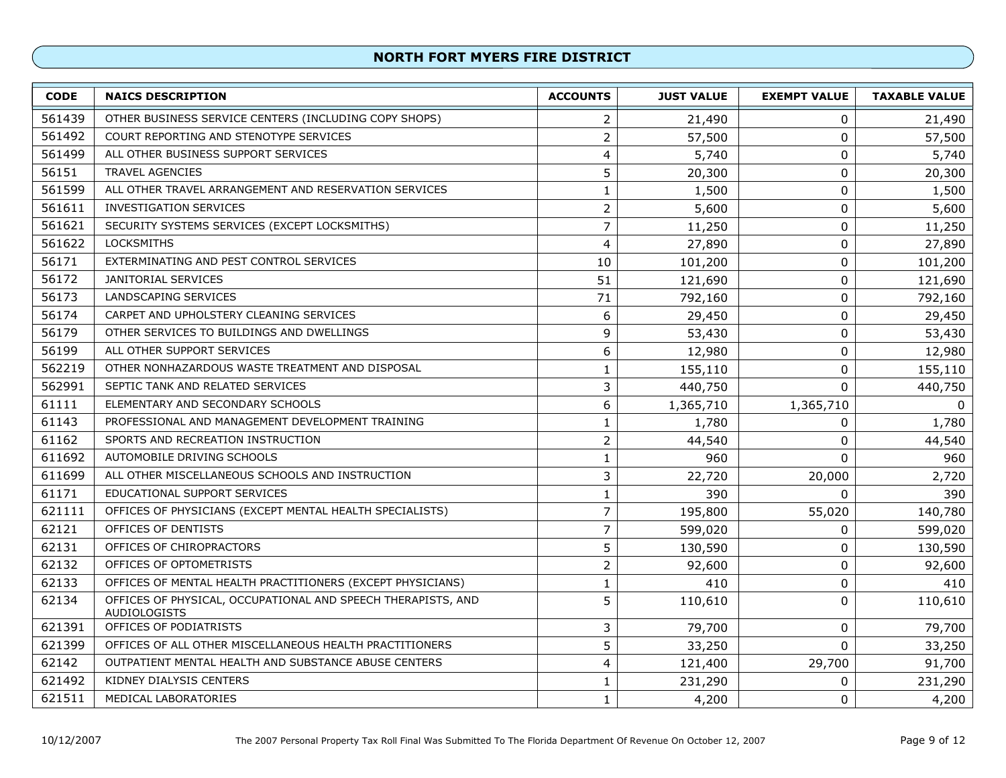| <b>CODE</b> | <b>NAICS DESCRIPTION</b>                                                            | <b>ACCOUNTS</b> | <b>JUST VALUE</b> | <b>EXEMPT VALUE</b> | <b>TAXABLE VALUE</b> |
|-------------|-------------------------------------------------------------------------------------|-----------------|-------------------|---------------------|----------------------|
| 561439      | OTHER BUSINESS SERVICE CENTERS (INCLUDING COPY SHOPS)                               | 2               | 21,490            | 0                   | 21,490               |
| 561492      | COURT REPORTING AND STENOTYPE SERVICES                                              | $\overline{2}$  | 57,500            | 0                   | 57,500               |
| 561499      | ALL OTHER BUSINESS SUPPORT SERVICES                                                 | 4               | 5,740             | $\pmb{0}$           | 5,740                |
| 56151       | <b>TRAVEL AGENCIES</b>                                                              | 5               | 20,300            | $\pmb{0}$           | 20,300               |
| 561599      | ALL OTHER TRAVEL ARRANGEMENT AND RESERVATION SERVICES                               | $\mathbf 1$     | 1,500             | 0                   | 1,500                |
| 561611      | <b>INVESTIGATION SERVICES</b>                                                       | $\overline{2}$  | 5,600             | $\pmb{0}$           | 5,600                |
| 561621      | SECURITY SYSTEMS SERVICES (EXCEPT LOCKSMITHS)                                       | $\overline{7}$  | 11,250            | $\pmb{0}$           | 11,250               |
| 561622      | <b>LOCKSMITHS</b>                                                                   | 4               | 27,890            | $\pmb{0}$           | 27,890               |
| 56171       | EXTERMINATING AND PEST CONTROL SERVICES                                             | 10              | 101,200           | $\pmb{0}$           | 101,200              |
| 56172       | <b>JANITORIAL SERVICES</b>                                                          | 51              | 121,690           | 0                   | 121,690              |
| 56173       | LANDSCAPING SERVICES                                                                | 71              | 792,160           | $\pmb{0}$           | 792,160              |
| 56174       | CARPET AND UPHOLSTERY CLEANING SERVICES                                             | 6               | 29,450            | 0                   | 29,450               |
| 56179       | OTHER SERVICES TO BUILDINGS AND DWELLINGS                                           | 9               | 53,430            | 0                   | 53,430               |
| 56199       | ALL OTHER SUPPORT SERVICES                                                          | 6               | 12,980            | 0                   | 12,980               |
| 562219      | OTHER NONHAZARDOUS WASTE TREATMENT AND DISPOSAL                                     | $\mathbf{1}$    | 155,110           | 0                   | 155,110              |
| 562991      | SEPTIC TANK AND RELATED SERVICES                                                    | 3               | 440,750           | $\pmb{0}$           | 440,750              |
| 61111       | ELEMENTARY AND SECONDARY SCHOOLS                                                    | 6               | 1,365,710         | 1,365,710           | 0                    |
| 61143       | PROFESSIONAL AND MANAGEMENT DEVELOPMENT TRAINING                                    | 1               | 1,780             | 0                   | 1,780                |
| 61162       | SPORTS AND RECREATION INSTRUCTION                                                   | $\overline{2}$  | 44,540            | 0                   | 44,540               |
| 611692      | AUTOMOBILE DRIVING SCHOOLS                                                          | 1               | 960               | $\mathbf 0$         | 960                  |
| 611699      | ALL OTHER MISCELLANEOUS SCHOOLS AND INSTRUCTION                                     | 3               | 22,720            | 20,000              | 2,720                |
| 61171       | EDUCATIONAL SUPPORT SERVICES                                                        | $\mathbf 1$     | 390               | $\mathbf 0$         | 390                  |
| 621111      | OFFICES OF PHYSICIANS (EXCEPT MENTAL HEALTH SPECIALISTS)                            | $\overline{7}$  | 195,800           | 55,020              | 140,780              |
| 62121       | OFFICES OF DENTISTS                                                                 | $\overline{7}$  | 599,020           | 0                   | 599,020              |
| 62131       | OFFICES OF CHIROPRACTORS                                                            | 5               | 130,590           | $\pmb{0}$           | 130,590              |
| 62132       | OFFICES OF OPTOMETRISTS                                                             | $\overline{c}$  | 92,600            | $\pmb{0}$           | 92,600               |
| 62133       | OFFICES OF MENTAL HEALTH PRACTITIONERS (EXCEPT PHYSICIANS)                          | 1               | 410               | 0                   | 410                  |
| 62134       | OFFICES OF PHYSICAL, OCCUPATIONAL AND SPEECH THERAPISTS, AND<br><b>AUDIOLOGISTS</b> | 5               | 110,610           | $\mathbf{0}$        | 110,610              |
| 621391      | OFFICES OF PODIATRISTS                                                              | 3               | 79,700            | $\pmb{0}$           | 79,700               |
| 621399      | OFFICES OF ALL OTHER MISCELLANEOUS HEALTH PRACTITIONERS                             | 5               | 33,250            | $\Omega$            | 33,250               |
| 62142       | OUTPATIENT MENTAL HEALTH AND SUBSTANCE ABUSE CENTERS                                | 4               | 121,400           | 29,700              | 91,700               |
| 621492      | KIDNEY DIALYSIS CENTERS                                                             | $\mathbf{1}$    | 231,290           | $\pmb{0}$           | 231,290              |
| 621511      | MEDICAL LABORATORIES                                                                | $\mathbf{1}$    | 4,200             | $\pmb{0}$           | 4,200                |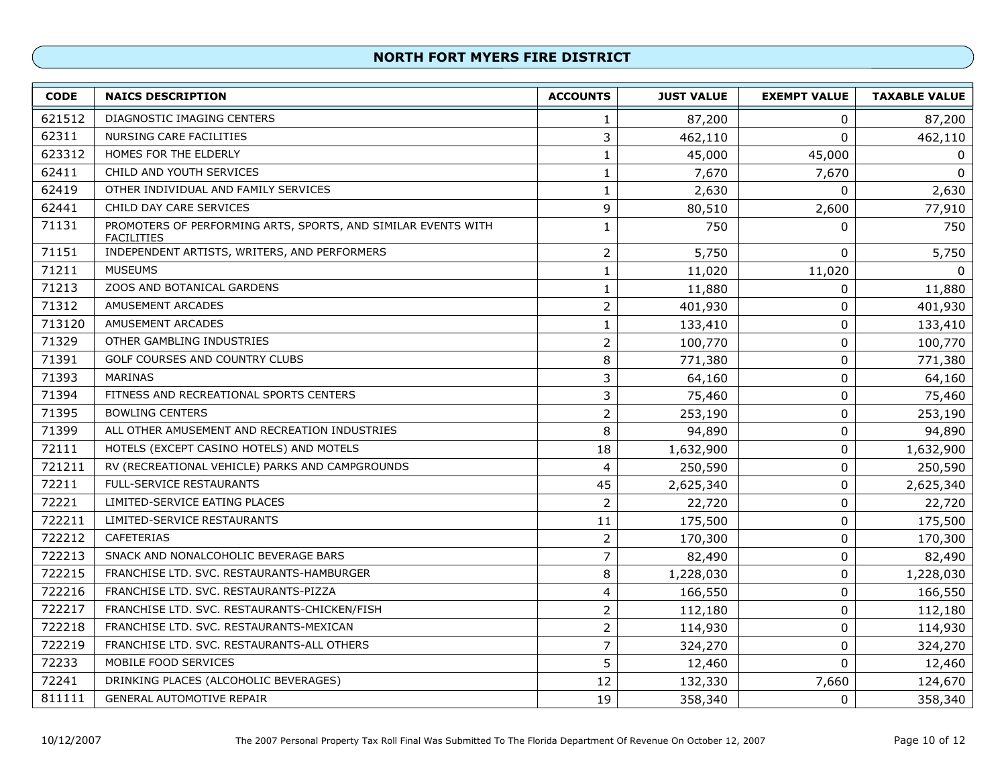| <b>CODE</b> | <b>NAICS DESCRIPTION</b>                                                           | <b>ACCOUNTS</b> | <b>JUST VALUE</b> | <b>EXEMPT VALUE</b> | <b>TAXABLE VALUE</b> |
|-------------|------------------------------------------------------------------------------------|-----------------|-------------------|---------------------|----------------------|
| 621512      | DIAGNOSTIC IMAGING CENTERS                                                         | 1               | 87,200            | 0                   | 87,200               |
| 62311       | NURSING CARE FACILITIES                                                            | 3               | 462,110           | 0                   | 462,110              |
| 623312      | HOMES FOR THE ELDERLY                                                              | $\mathbf{1}$    | 45,000            | 45,000              | 0                    |
| 62411       | CHILD AND YOUTH SERVICES                                                           | 1               | 7,670             | 7,670               | $\mathbf{0}$         |
| 62419       | OTHER INDIVIDUAL AND FAMILY SERVICES                                               | $\mathbf 1$     | 2,630             | 0                   | 2,630                |
| 62441       | CHILD DAY CARE SERVICES                                                            | 9               | 80,510            | 2,600               | 77,910               |
| 71131       | PROMOTERS OF PERFORMING ARTS, SPORTS, AND SIMILAR EVENTS WITH<br><b>FACILITIES</b> | $\mathbf{1}$    | 750               | 0                   | 750                  |
| 71151       | INDEPENDENT ARTISTS, WRITERS, AND PERFORMERS                                       | $\overline{2}$  | 5,750             | 0                   | 5,750                |
| 71211       | <b>MUSEUMS</b>                                                                     | $\mathbf 1$     | 11,020            | 11,020              | 0                    |
| 71213       | ZOOS AND BOTANICAL GARDENS                                                         | $\mathbf 1$     | 11,880            | 0                   | 11,880               |
| 71312       | AMUSEMENT ARCADES                                                                  | $\overline{2}$  | 401,930           | 0                   | 401,930              |
| 713120      | AMUSEMENT ARCADES                                                                  | $\mathbf{1}$    | 133,410           | $\pmb{0}$           | 133,410              |
| 71329       | OTHER GAMBLING INDUSTRIES                                                          | $\overline{2}$  | 100,770           | 0                   | 100,770              |
| 71391       | GOLF COURSES AND COUNTRY CLUBS                                                     | 8               | 771,380           | $\pmb{0}$           | 771,380              |
| 71393       | <b>MARINAS</b>                                                                     | 3               | 64,160            | 0                   | 64,160               |
| 71394       | FITNESS AND RECREATIONAL SPORTS CENTERS                                            | 3               | 75,460            | $\pmb{0}$           | 75,460               |
| 71395       | <b>BOWLING CENTERS</b>                                                             | $\overline{2}$  | 253,190           | $\pmb{0}$           | 253,190              |
| 71399       | ALL OTHER AMUSEMENT AND RECREATION INDUSTRIES                                      | 8               | 94,890            | $\pmb{0}$           | 94,890               |
| 72111       | HOTELS (EXCEPT CASINO HOTELS) AND MOTELS                                           | 18              | 1,632,900         | $\mathbf 0$         | 1,632,900            |
| 721211      | RV (RECREATIONAL VEHICLE) PARKS AND CAMPGROUNDS                                    | $\overline{4}$  | 250,590           | 0                   | 250,590              |
| 72211       | <b>FULL-SERVICE RESTAURANTS</b>                                                    | 45              | 2,625,340         | 0                   | 2,625,340            |
| 72221       | LIMITED-SERVICE EATING PLACES                                                      | $\overline{2}$  | 22,720            | 0                   | 22,720               |
| 722211      | LIMITED-SERVICE RESTAURANTS                                                        | 11              | 175,500           | $\pmb{0}$           | 175,500              |
| 722212      | <b>CAFETERIAS</b>                                                                  | $\overline{2}$  | 170,300           | 0                   | 170,300              |
| 722213      | SNACK AND NONALCOHOLIC BEVERAGE BARS                                               | $\overline{7}$  | 82,490            | $\pmb{0}$           | 82,490               |
| 722215      | FRANCHISE LTD. SVC. RESTAURANTS-HAMBURGER                                          | 8               | 1,228,030         | 0                   | 1,228,030            |
| 722216      | FRANCHISE LTD. SVC. RESTAURANTS-PIZZA                                              | 4               | 166,550           | 0                   | 166,550              |
| 722217      | FRANCHISE LTD. SVC. RESTAURANTS-CHICKEN/FISH                                       | $\overline{2}$  | 112,180           | 0                   | 112,180              |
| 722218      | FRANCHISE LTD. SVC. RESTAURANTS-MEXICAN                                            | $\overline{2}$  | 114,930           | 0                   | 114,930              |
| 722219      | FRANCHISE LTD. SVC. RESTAURANTS-ALL OTHERS                                         | $\overline{7}$  | 324,270           | 0                   | 324,270              |
| 72233       | MOBILE FOOD SERVICES                                                               | 5               | 12,460            | $\mathbf 0$         | 12,460               |
| 72241       | DRINKING PLACES (ALCOHOLIC BEVERAGES)                                              | 12              | 132,330           | 7,660               | 124,670              |
| 811111      | <b>GENERAL AUTOMOTIVE REPAIR</b>                                                   | 19              | 358,340           | 0                   | 358,340              |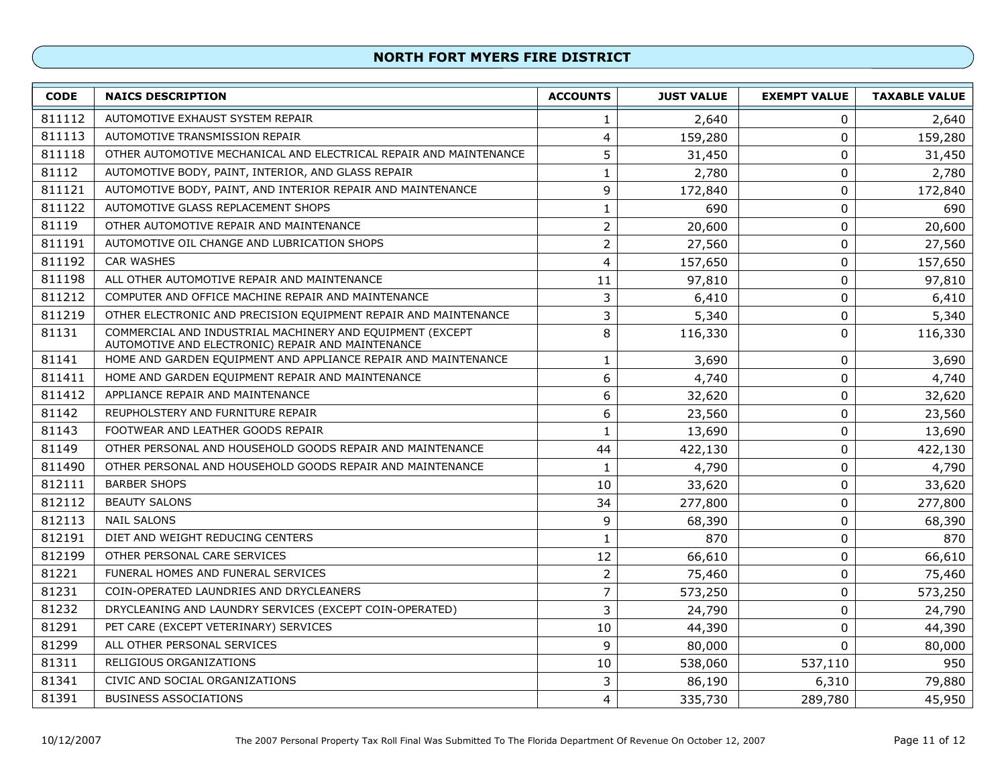| <b>CODE</b> | <b>NAICS DESCRIPTION</b>                                                                                       | <b>ACCOUNTS</b> | <b>JUST VALUE</b> | <b>EXEMPT VALUE</b> | <b>TAXABLE VALUE</b> |
|-------------|----------------------------------------------------------------------------------------------------------------|-----------------|-------------------|---------------------|----------------------|
| 811112      | AUTOMOTIVE EXHAUST SYSTEM REPAIR                                                                               | 1               | 2,640             | 0                   | 2,640                |
| 811113      | AUTOMOTIVE TRANSMISSION REPAIR                                                                                 | 4               | 159,280           | 0                   | 159,280              |
| 811118      | OTHER AUTOMOTIVE MECHANICAL AND ELECTRICAL REPAIR AND MAINTENANCE                                              |                 | 31,450            | $\pmb{0}$           | 31,450               |
| 81112       | AUTOMOTIVE BODY, PAINT, INTERIOR, AND GLASS REPAIR                                                             | $\mathbf{1}$    | 2,780             | 0                   | 2,780                |
| 811121      | AUTOMOTIVE BODY, PAINT, AND INTERIOR REPAIR AND MAINTENANCE                                                    | 9               | 172,840           | $\mathbf 0$         | 172,840              |
| 811122      | AUTOMOTIVE GLASS REPLACEMENT SHOPS                                                                             | $\mathbf{1}$    | 690               | 0                   | 690                  |
| 81119       | OTHER AUTOMOTIVE REPAIR AND MAINTENANCE                                                                        | $\overline{2}$  | 20,600            | 0                   | 20,600               |
| 811191      | AUTOMOTIVE OIL CHANGE AND LUBRICATION SHOPS                                                                    | $\overline{2}$  | 27,560            | 0                   | 27,560               |
| 811192      | <b>CAR WASHES</b>                                                                                              | 4               | 157,650           | $\mathbf 0$         | 157,650              |
| 811198      | ALL OTHER AUTOMOTIVE REPAIR AND MAINTENANCE                                                                    | 11              | 97,810            | 0                   | 97,810               |
| 811212      | COMPUTER AND OFFICE MACHINE REPAIR AND MAINTENANCE                                                             | 3               | 6,410             | 0                   | 6,410                |
| 811219      | OTHER ELECTRONIC AND PRECISION EQUIPMENT REPAIR AND MAINTENANCE                                                | 3               | 5,340             | 0                   | 5,340                |
| 81131       | COMMERCIAL AND INDUSTRIAL MACHINERY AND EQUIPMENT (EXCEPT<br>AUTOMOTIVE AND ELECTRONIC) REPAIR AND MAINTENANCE | 8               | 116,330           | 0                   | 116,330              |
| 81141       | HOME AND GARDEN EQUIPMENT AND APPLIANCE REPAIR AND MAINTENANCE                                                 | 1               | 3,690             | 0                   | 3,690                |
| 811411      | HOME AND GARDEN EQUIPMENT REPAIR AND MAINTENANCE                                                               | 6               | 4,740             | 0                   | 4,740                |
| 811412      | APPLIANCE REPAIR AND MAINTENANCE                                                                               | 6               | 32,620            | $\mathbf 0$         | 32,620               |
| 81142       | REUPHOLSTERY AND FURNITURE REPAIR                                                                              | 6               | 23,560            | 0                   | 23,560               |
| 81143       | FOOTWEAR AND LEATHER GOODS REPAIR                                                                              | 1               | 13,690            | $\mathbf 0$         | 13,690               |
| 81149       | OTHER PERSONAL AND HOUSEHOLD GOODS REPAIR AND MAINTENANCE                                                      | 44              | 422,130           | $\mathbf 0$         | 422,130              |
| 811490      | OTHER PERSONAL AND HOUSEHOLD GOODS REPAIR AND MAINTENANCE                                                      | 1               | 4,790             | 0                   | 4,790                |
| 812111      | <b>BARBER SHOPS</b>                                                                                            | 10              | 33,620            | 0                   | 33,620               |
| 812112      | <b>BEAUTY SALONS</b>                                                                                           | 34              | 277,800           | $\mathbf 0$         | 277,800              |
| 812113      | <b>NAIL SALONS</b>                                                                                             | 9               | 68,390            | $\pmb{0}$           | 68,390               |
| 812191      | DIET AND WEIGHT REDUCING CENTERS                                                                               | $\mathbf{1}$    | 870               | 0                   | 870                  |
| 812199      | OTHER PERSONAL CARE SERVICES                                                                                   | 12              | 66,610            | $\pmb{0}$           | 66,610               |
| 81221       | FUNERAL HOMES AND FUNERAL SERVICES                                                                             | $\overline{2}$  | 75,460            | $\mathbf 0$         | 75,460               |
| 81231       | COIN-OPERATED LAUNDRIES AND DRYCLEANERS                                                                        | 7               | 573,250           | $\mathbf 0$         | 573,250              |
| 81232       | DRYCLEANING AND LAUNDRY SERVICES (EXCEPT COIN-OPERATED)                                                        | 3               | 24,790            | 0                   | 24,790               |
| 81291       | PET CARE (EXCEPT VETERINARY) SERVICES                                                                          | 10              | 44,390            | 0                   | 44,390               |
| 81299       | ALL OTHER PERSONAL SERVICES                                                                                    | 9               | 80,000            | $\Omega$            | 80,000               |
| 81311       | RELIGIOUS ORGANIZATIONS                                                                                        | 10              | 538,060           | 537,110             | 950                  |
| 81341       | CIVIC AND SOCIAL ORGANIZATIONS                                                                                 | 3               | 86,190            | 6,310               | 79,880               |
| 81391       | <b>BUSINESS ASSOCIATIONS</b>                                                                                   | 4               | 335,730           | 289,780             | 45,950               |